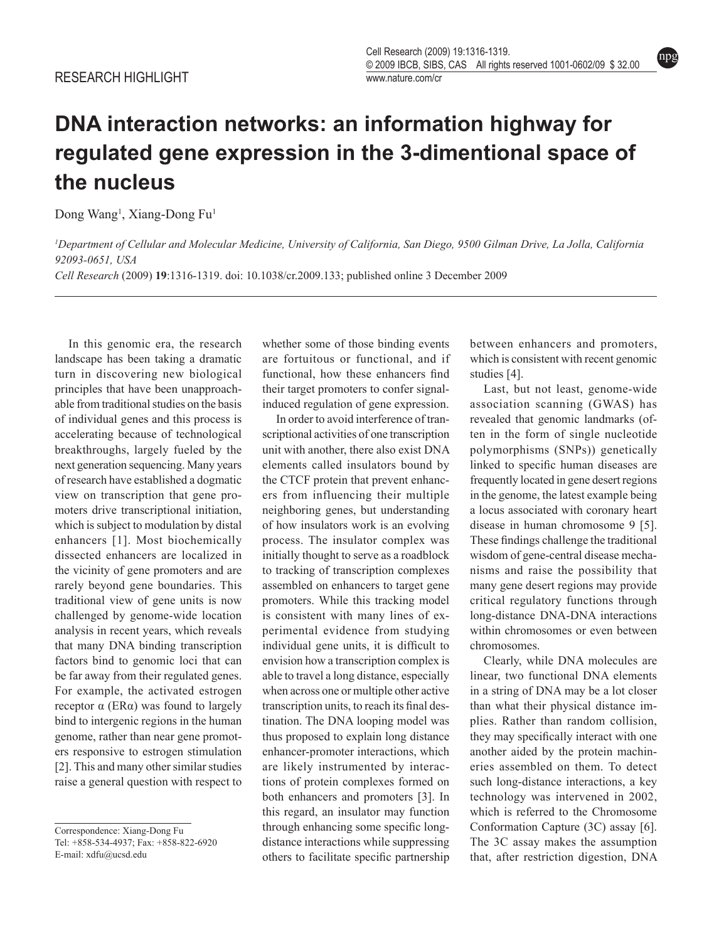npg

## **DNA interaction networks: an information highway for regulated gene expression in the 3-dimentional space of the nucleus**

Dong Wang<sup>1</sup>, Xiang-Dong Fu<sup>1</sup>

*1 Department of Cellular and Molecular Medicine, University of California, San Diego, 9500 Gilman Drive, La Jolla, California 92093-0651, USA*

*Cell Research* (2009) **19**:1316-1319. doi: 10.1038/cr.2009.133; published online 3 December 2009

In this genomic era, the research landscape has been taking a dramatic turn in discovering new biological principles that have been unapproachable from traditional studies on the basis of individual genes and this process is accelerating because of technological breakthroughs, largely fueled by the next generation sequencing. Many years of research have established a dogmatic view on transcription that gene promoters drive transcriptional initiation, which is subject to modulation by distal enhancers [1]. Most biochemically dissected enhancers are localized in the vicinity of gene promoters and are rarely beyond gene boundaries. This traditional view of gene units is now challenged by genome-wide location analysis in recent years, which reveals that many DNA binding transcription factors bind to genomic loci that can be far away from their regulated genes. For example, the activated estrogen receptor  $α$  (ER $α$ ) was found to largely bind to intergenic regions in the human genome, rather than near gene promoters responsive to estrogen stimulation [2]. This and many other similar studies raise a general question with respect to

whether some of those binding events are fortuitous or functional, and if functional, how these enhancers find their target promoters to confer signalinduced regulation of gene expression.

In order to avoid interference of transcriptional activities of one transcription unit with another, there also exist DNA elements called insulators bound by the CTCF protein that prevent enhancers from influencing their multiple neighboring genes, but understanding of how insulators work is an evolving process. The insulator complex was initially thought to serve as a roadblock to tracking of transcription complexes assembled on enhancers to target gene promoters. While this tracking model is consistent with many lines of experimental evidence from studying individual gene units, it is difficult to envision how a transcription complex is able to travel a long distance, especially when across one or multiple other active transcription units, to reach its final destination. The DNA looping model was thus proposed to explain long distance enhancer-promoter interactions, which are likely instrumented by interactions of protein complexes formed on both enhancers and promoters [3]. In this regard, an insulator may function through enhancing some specific longdistance interactions while suppressing others to facilitate specific partnership between enhancers and promoters, which is consistent with recent genomic studies [4].

Last, but not least, genome-wide association scanning (GWAS) has revealed that genomic landmarks (often in the form of single nucleotide polymorphisms (SNPs)) genetically linked to specific human diseases are frequently located in gene desert regions in the genome, the latest example being a locus associated with coronary heart disease in human chromosome 9 [5]. These findings challenge the traditional wisdom of gene-central disease mechanisms and raise the possibility that many gene desert regions may provide critical regulatory functions through long-distance DNA-DNA interactions within chromosomes or even between chromosomes.

Clearly, while DNA molecules are linear, two functional DNA elements in a string of DNA may be a lot closer than what their physical distance implies. Rather than random collision, they may specifically interact with one another aided by the protein machineries assembled on them. To detect such long-distance interactions, a key technology was intervened in 2002, which is referred to the Chromosome Conformation Capture (3C) assay [6]. The 3C assay makes the assumption that, after restriction digestion, DNA

Correspondence: Xiang-Dong Fu Tel: +858-534-4937; Fax: +858-822-6920 E-mail: xdfu@ucsd.edu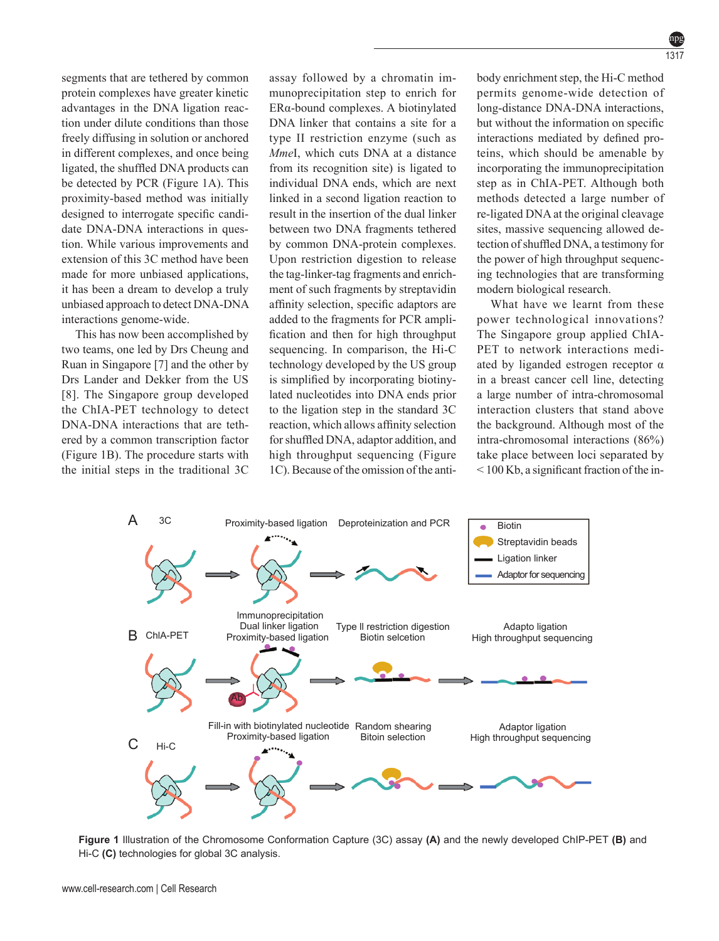segments that are tethered by common protein complexes have greater kinetic advantages in the DNA ligation reaction under dilute conditions than those freely diffusing in solution or anchored in different complexes, and once being ligated, the shuffled DNA products can be detected by PCR (Figure 1A). This proximity-based method was initially designed to interrogate specific candidate DNA-DNA interactions in question. While various improvements and extension of this 3C method have been made for more unbiased applications, it has been a dream to develop a truly unbiased approach to detect DNA-DNA interactions genome-wide.

This has now been accomplished by two teams, one led by Drs Cheung and Ruan in Singapore [7] and the other by Drs Lander and Dekker from the US [8]. The Singapore group developed the ChIA-PET technology to detect DNA-DNA interactions that are tethered by a common transcription factor (Figure 1B). The procedure starts with the initial steps in the traditional 3C

assay followed by a chromatin immunoprecipitation step to enrich for ERα-bound complexes. A biotinylated DNA linker that contains a site for a type II restriction enzyme (such as *MmeI*, which cuts DNA at a distance from its recognition site) is ligated to individual DNA ends, which are next linked in a second ligation reaction to result in the insertion of the dual linker between two DNA fragments tethered by common DNA-protein complexes. Upon restriction digestion to release the tag-linker-tag fragments and enrichment of such fragments by streptavidin affinity selection, specific adaptors are added to the fragments for PCR amplification and then for high throughput sequencing. In comparison, the Hi-C technology developed by the US group is simplified by incorporating biotinylated nucleotides into DNA ends prior to the ligation step in the standard 3C reaction, which allows affinity selection for shuffled DNA, adaptor addition, and high throughput sequencing (Figure 1C). Because of the omission of the antibody enrichment step, the Hi-C method permits genome-wide detection of long-distance DNA-DNA interactions, but without the information on specific interactions mediated by defined proteins, which should be amenable by incorporating the immunoprecipitation step as in ChIA-PET. Although both methods detected a large number of re-ligated DNA at the original cleavage sites, massive sequencing allowed detection of shuffled DNA, a testimony for the power of high throughput sequencing technologies that are transforming modern biological research.

What have we learnt from these power technological innovations? The Singapore group applied ChIA-PET to network interactions mediated by liganded estrogen receptor  $\alpha$ in a breast cancer cell line, detecting a large number of intra-chromosomal interaction clusters that stand above the background. Although most of the intra-chromosomal interactions (86%) take place between loci separated by < 100 Kb, a significant fraction of the in-



**Figure 1** Illustration of the Chromosome Conformation Capture (3C) assay **(A)** and the newly developed ChIP-PET **(B)** and Hi-C **(C)** technologies for global 3C analysis.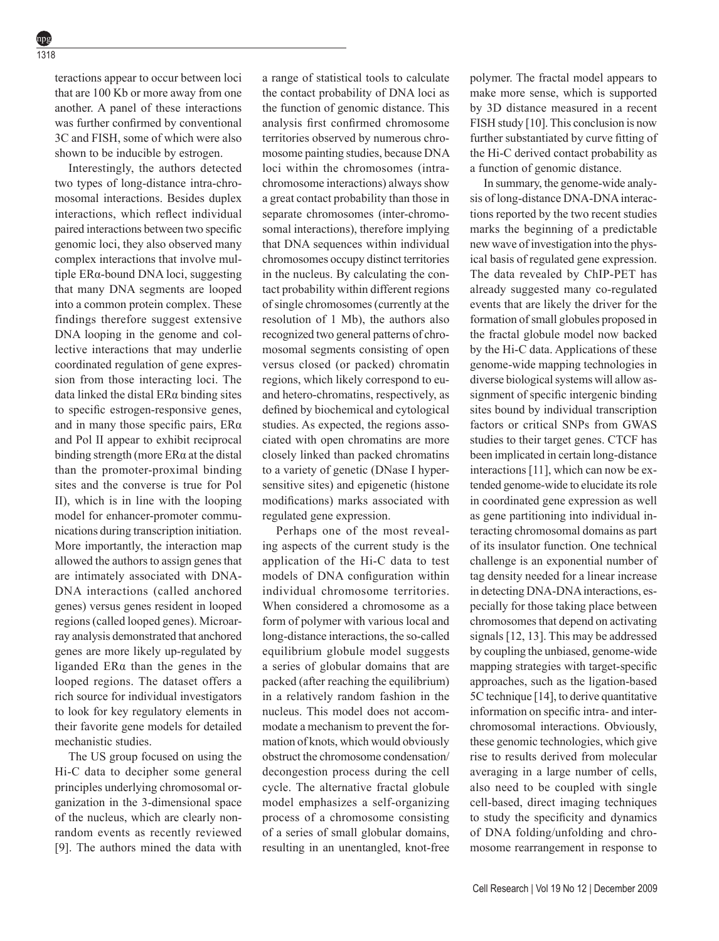teractions appear to occur between loci that are 100 Kb or more away from one another. A panel of these interactions was further confirmed by conventional 3C and FISH, some of which were also shown to be inducible by estrogen.

Interestingly, the authors detected two types of long-distance intra-chromosomal interactions. Besides duplex interactions, which reflect individual paired interactions between two specific genomic loci, they also observed many complex interactions that involve multiple ERα-bound DNA loci, suggesting that many DNA segments are looped into a common protein complex. These findings therefore suggest extensive DNA looping in the genome and collective interactions that may underlie coordinated regulation of gene expression from those interacting loci. The data linked the distal ERα binding sites to specific estrogen-responsive genes, and in many those specific pairs, ERα and Pol II appear to exhibit reciprocal binding strength (more  $ER\alpha$  at the distal than the promoter-proximal binding sites and the converse is true for Pol II), which is in line with the looping model for enhancer-promoter communications during transcription initiation. More importantly, the interaction map allowed the authors to assign genes that are intimately associated with DNA-DNA interactions (called anchored genes) versus genes resident in looped regions (called looped genes). Microarray analysis demonstrated that anchored genes are more likely up-regulated by liganded ERα than the genes in the looped regions. The dataset offers a rich source for individual investigators to look for key regulatory elements in their favorite gene models for detailed mechanistic studies.

The US group focused on using the Hi-C data to decipher some general principles underlying chromosomal organization in the 3-dimensional space of the nucleus, which are clearly nonrandom events as recently reviewed [9]. The authors mined the data with

a range of statistical tools to calculate the contact probability of DNA loci as the function of genomic distance. This analysis first confirmed chromosome territories observed by numerous chromosome painting studies, because DNA loci within the chromosomes (intrachromosome interactions) always show a great contact probability than those in separate chromosomes (inter-chromosomal interactions), therefore implying that DNA sequences within individual chromosomes occupy distinct territories in the nucleus. By calculating the contact probability within different regions of single chromosomes (currently at the resolution of 1 Mb), the authors also recognized two general patterns of chromosomal segments consisting of open versus closed (or packed) chromatin regions, which likely correspond to euand hetero-chromatins, respectively, as defined by biochemical and cytological studies. As expected, the regions associated with open chromatins are more closely linked than packed chromatins to a variety of genetic (DNase I hypersensitive sites) and epigenetic (histone modifications) marks associated with regulated gene expression.

Perhaps one of the most revealing aspects of the current study is the application of the Hi-C data to test models of DNA configuration within individual chromosome territories. When considered a chromosome as a form of polymer with various local and long-distance interactions, the so-called equilibrium globule model suggests a series of globular domains that are packed (after reaching the equilibrium) in a relatively random fashion in the nucleus. This model does not accommodate a mechanism to prevent the formation of knots, which would obviously obstruct the chromosome condensation/ decongestion process during the cell cycle. The alternative fractal globule model emphasizes a self-organizing process of a chromosome consisting of a series of small globular domains, resulting in an unentangled, knot-free polymer. The fractal model appears to make more sense, which is supported by 3D distance measured in a recent FISH study [10]. This conclusion is now further substantiated by curve fitting of the Hi-C derived contact probability as a function of genomic distance.

In summary, the genome-wide analysis of long-distance DNA-DNA interactions reported by the two recent studies marks the beginning of a predictable new wave of investigation into the physical basis of regulated gene expression. The data revealed by ChIP-PET has already suggested many co-regulated events that are likely the driver for the formation of small globules proposed in the fractal globule model now backed by the Hi-C data. Applications of these genome-wide mapping technologies in diverse biological systems will allow assignment of specific intergenic binding sites bound by individual transcription factors or critical SNPs from GWAS studies to their target genes. CTCF has been implicated in certain long-distance interactions [11], which can now be extended genome-wide to elucidate its role in coordinated gene expression as well as gene partitioning into individual interacting chromosomal domains as part of its insulator function. One technical challenge is an exponential number of tag density needed for a linear increase in detecting DNA-DNA interactions, especially for those taking place between chromosomes that depend on activating signals [12, 13]. This may be addressed by coupling the unbiased, genome-wide mapping strategies with target-specific approaches, such as the ligation-based 5C technique [14], to derive quantitative information on specific intra- and interchromosomal interactions. Obviously, these genomic technologies, which give rise to results derived from molecular averaging in a large number of cells, also need to be coupled with single cell-based, direct imaging techniques to study the specificity and dynamics of DNA folding/unfolding and chromosome rearrangement in response to